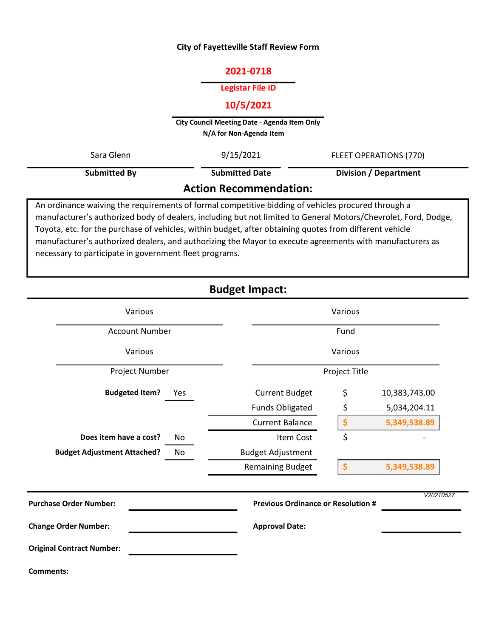### City of Fayetteville Staff Review Form

## 2021-0718

#### Legistar File ID

#### 10/5/2021

City Council Meeting Date - Agenda Item Only N/A for Non-Agenda Item

| Sara Glenn                                                                                         | 9/15/2021             | <b>FLEET OPERATIONS (770)</b> |  |  |  |
|----------------------------------------------------------------------------------------------------|-----------------------|-------------------------------|--|--|--|
| <b>Submitted By</b>                                                                                | <b>Submitted Date</b> | <b>Division / Department</b>  |  |  |  |
| <b>Action Recommendation:</b>                                                                      |                       |                               |  |  |  |
| An ordinance waiving the requirements of formal competitive bidding of vehicles procured through a |                       |                               |  |  |  |

manufacturer's authorized body of dealers, including but not limited to General Motors/Chevrolet, Ford, Dodge, Toyota, etc. for the purchase of vehicles, within budget, after obtaining quotes from different vehicle manufacturer's authorized dealers, and authorizing the Mayor to execute agreements with manufacturers as necessary to participate in government fleet programs.

# Budget Impact:

| Various                            | Various |                                                        |    |               |
|------------------------------------|---------|--------------------------------------------------------|----|---------------|
| <b>Account Number</b>              |         | Fund                                                   |    |               |
| Various                            |         | Various                                                |    |               |
| Project Number                     |         | Project Title                                          |    |               |
| <b>Budgeted Item?</b>              | Yes     | <b>Current Budget</b>                                  | \$ | 10,383,743.00 |
|                                    |         | <b>Funds Obligated</b>                                 | \$ | 5,034,204.11  |
|                                    |         | <b>Current Balance</b>                                 | \$ | 5,349,538.89  |
| Does item have a cost?             | No      | <b>Item Cost</b>                                       | \$ |               |
| <b>Budget Adjustment Attached?</b> | No      | <b>Budget Adjustment</b>                               |    |               |
|                                    |         | <b>Remaining Budget</b>                                | \$ | 5,349,538.89  |
| <b>Purchase Order Number:</b>      |         | V20210527<br><b>Previous Ordinance or Resolution #</b> |    |               |
| <b>Change Order Number:</b>        |         | <b>Approval Date:</b>                                  |    |               |
| <b>Original Contract Number:</b>   |         |                                                        |    |               |
| <b>Comments:</b>                   |         |                                                        |    |               |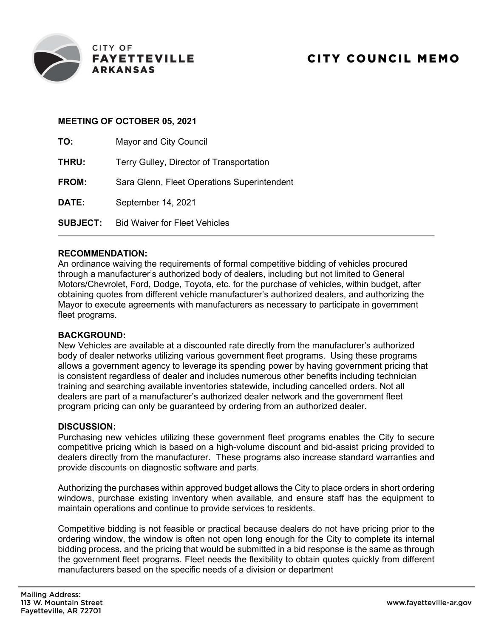

## MEETING OF OCTOBER 05, 2021

| TO:             | Mayor and City Council                      |
|-----------------|---------------------------------------------|
| THRU:           | Terry Gulley, Director of Transportation    |
| FROM:           | Sara Glenn, Fleet Operations Superintendent |
| DATE:           | September 14, 2021                          |
| <b>SUBJECT:</b> | <b>Bid Waiver for Fleet Vehicles</b>        |

### RECOMMENDATION:

An ordinance waiving the requirements of formal competitive bidding of vehicles procured through a manufacturer's authorized body of dealers, including but not limited to General Motors/Chevrolet, Ford, Dodge, Toyota, etc. for the purchase of vehicles, within budget, after obtaining quotes from different vehicle manufacturer's authorized dealers, and authorizing the Mayor to execute agreements with manufacturers as necessary to participate in government fleet programs.

#### BACKGROUND:

New Vehicles are available at a discounted rate directly from the manufacturer's authorized body of dealer networks utilizing various government fleet programs. Using these programs allows a government agency to leverage its spending power by having government pricing that is consistent regardless of dealer and includes numerous other benefits including technician training and searching available inventories statewide, including cancelled orders. Not all dealers are part of a manufacturer's authorized dealer network and the government fleet program pricing can only be guaranteed by ordering from an authorized dealer.

#### DISCUSSION:

Purchasing new vehicles utilizing these government fleet programs enables the City to secure competitive pricing which is based on a high-volume discount and bid-assist pricing provided to dealers directly from the manufacturer. These programs also increase standard warranties and provide discounts on diagnostic software and parts.

Authorizing the purchases within approved budget allows the City to place orders in short ordering windows, purchase existing inventory when available, and ensure staff has the equipment to maintain operations and continue to provide services to residents.

Competitive bidding is not feasible or practical because dealers do not have pricing prior to the ordering window, the window is often not open long enough for the City to complete its internal bidding process, and the pricing that would be submitted in a bid response is the same as through the government fleet programs. Fleet needs the flexibility to obtain quotes quickly from different manufacturers based on the specific needs of a division or department